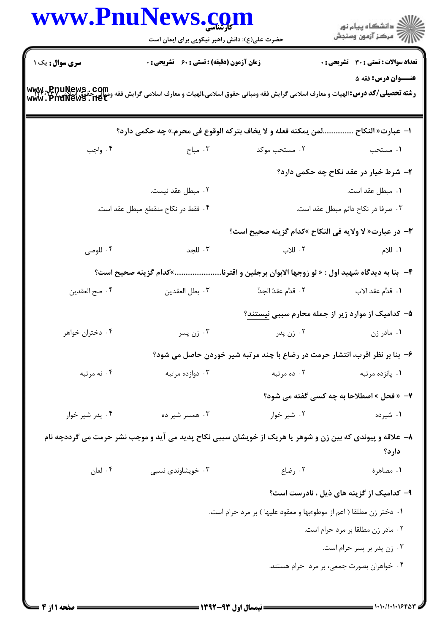|                        | حضرت علی(ع): دانش راهبر نیکویی برای ایمان است                                                                                                                              |                                                                             | ر<br>دانشڪاه پيام نور)<br>ا∛ مرڪز آزمون وسنڊش   |
|------------------------|----------------------------------------------------------------------------------------------------------------------------------------------------------------------------|-----------------------------------------------------------------------------|-------------------------------------------------|
| <b>سری سوال :</b> یک ۱ | <b>زمان آزمون (دقیقه) : تستی : 60 ٪ تشریحی : 0</b>                                                                                                                         |                                                                             | <b>تعداد سوالات : تستی : 30 ٪ تشریحی : 0</b>    |
|                        | <b>رشته تحصیلی/کد درس:</b> الهیات و معارف اسلامی گرایش فقه ومبانی حقوق اسلامی،الهیات و معارف اسلامی گرایش فقه ومیانی حقوق اسلامی www. PnuNews . com<br>Www . PnuNews . net |                                                                             | <b>عنــوان درس: فقه 5</b>                       |
|                        | لمن يمكنه فعله و لا يخاف بتركه الوقوع في محرم.» چه حكمي دارد؟                                                                                                              |                                                                             | ا− عبارت« النكاح                                |
| ۰۴ واجب                | ۰۳ مباح $\cdot$                                                                                                                                                            | ۰۲ مستحب موکد                                                               | ۱. مستحب                                        |
|                        |                                                                                                                                                                            |                                                                             | ۲- شرط خیار در عقد نکاح چه حکمی دارد؟           |
|                        | ۰۲ مبطل عقد نیست.                                                                                                                                                          |                                                                             | ۰۱ مبطل عقد است.                                |
|                        | ۰۴ فقط در نكاح منقطع مبطل عقد است.                                                                                                                                         | ۰۳ صرفا در نکاح دائم مبطل عقد است.                                          |                                                 |
|                        |                                                                                                                                                                            | ٣- در عبارت« لا ولايه في النكاح »كدام گزينه صحيح است؟                       |                                                 |
| ۰۴ للوصي               | ۰۳ للجد                                                                                                                                                                    | ۰۲ للاب                                                                     | ۱. للام                                         |
|                        | ۴- بنا به دیدگاه شهید اول : « لو زوجها الابوان برجلین و اقترنا»کدام گزینه صحیح است؟                                                                                        |                                                                             |                                                 |
| ۰۴ صح العقدين          | ۰۳ بطل العقدين                                                                                                                                                             |                                                                             |                                                 |
|                        |                                                                                                                                                                            | ۵– کدامیک از موارد زیر از جمله محارم سببی نیستند؟                           |                                                 |
| ۰۴ دختران خواهر        | ۰۳ زن پسر                                                                                                                                                                  | ۰۲ زن پدر                                                                   | ۰۱ مادر زن                                      |
|                        |                                                                                                                                                                            | ۶- بنا بر نظر اقرب، انتشار حرمت در رضاع با چند مرتبه شیر خوردن حاصل می شود؟ |                                                 |
| ۰۴ نه مرتبه            | ۰۳ دوازده مرتبه                                                                                                                                                            | ۰۲ ده مرتبه                                                                 | ۰۱ پانزده مرتبه                                 |
|                        |                                                                                                                                                                            |                                                                             | 7- « فحل » اصطلاحا به چه کسی گفته می شود؟       |
| ۰۴ پدر شیر خوار        | ۰۳ همسر شیر ده                                                                                                                                                             | ۰۲ شیر خوار                                                                 | ۰۱ شیرده                                        |
|                        | ۸– علاقه و پیوندی که بین زن و شوهر یا هریک از خویشان سببی نکاح پدید می آید و موجب نشر حرمت می گرددچه نام                                                                   |                                                                             | دارد؟                                           |
| ۰۴ لعان                | ۰۳ خویشاوندی نسبی                                                                                                                                                          | ۰۲ رضاع                                                                     | ٠١. مصاهرة                                      |
|                        |                                                                                                                                                                            |                                                                             | ۹- کدامیک از گزینه های ذیل ، <u>نادرست</u> است؟ |
|                        |                                                                                                                                                                            | ۰۱ دختر زن مطلقا ( اعم از موطوءبها و معقود علیها ) بر مرد حرام است.         |                                                 |
|                        |                                                                                                                                                                            |                                                                             | ٠٢ مادر زن مطلقا بر مرد حرام است.               |
|                        |                                                                                                                                                                            |                                                                             | ۰۳ زن پدر بر پسر حرام است.                      |
|                        |                                                                                                                                                                            |                                                                             | ۰۴ خواهران بصورت جمعی، بر مرد حرام هستند.       |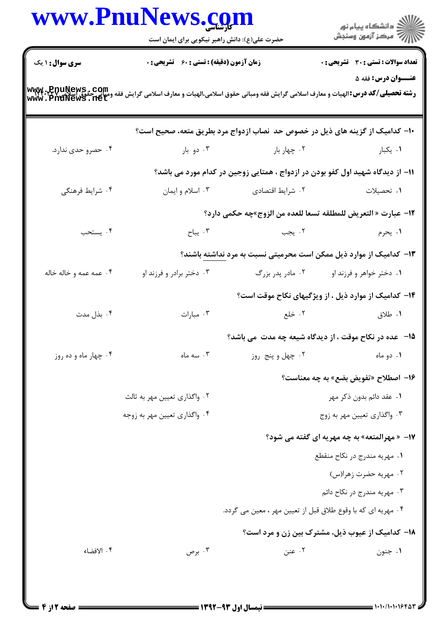|                        | www.PnuNews.com                               |                                                              |                                                                                                                                                                               |
|------------------------|-----------------------------------------------|--------------------------------------------------------------|-------------------------------------------------------------------------------------------------------------------------------------------------------------------------------|
|                        | حضرت علی(ع): دانش راهبر نیکویی برای ایمان است |                                                              | الان دانشگاه پيام نور<br>    > مرکز آزمون وسنڊش                                                                                                                               |
| <b>سری سوال : ۱ یک</b> | زمان آزمون (دقیقه) : تستی : 60 ٪ تشریحی : 0   |                                                              | <b>تعداد سوالات : تستی : 30 ٪ تشریحی : 0</b>                                                                                                                                  |
|                        |                                               |                                                              | <b>عنــوان درس: فقه 5</b><br><b>رشته تحصیلی/کد درس:</b> الهیات و معارف اسلامی گرایش فقه ومبانی حقوق اسلامی،الهیات و معارف اسلامی گرایش فقه ومیانی حقوق<br>WWW . PnuNews . net |
|                        |                                               |                                                              | ∙ا− کدامیک از گزینه های ذیل در خصوص حد نصاب ازدواج مرد بطریق متعه، صحیح است؟                                                                                                  |
| ۰۴ حصرو حدی ندارد.     |                                               | ۰۲ چهار بار مسلمان دو بار <b>۴</b>                           | ۰۱ يکبا <sub>ر</sub>                                                                                                                                                          |
|                        |                                               |                                                              | 11– از دیدگاه شهید اول کفو بودن در ازدواج ، همتایی زوجین در کدام مورد می باشد؟                                                                                                |
| ۰۴ شرایط فرهنگی        | ۰۳ اسلام و ايمان                              | ۰۲ شرایط اقتصادی                                             | ۰۱ تحصیلات                                                                                                                                                                    |
|                        |                                               |                                                              | 1٢- عبارت « التعريض للمطلقه تسعا للعده من الزوج»چه حكمي دارد؟                                                                                                                 |
| ۰۴ يستحب               | ا يباح $\mathfrak{r}$ . $\mathfrak{r}$        | ۲. يجب                                                       | ۰۱ يحرم                                                                                                                                                                       |
|                        |                                               |                                                              | ۱۳- کدامیک از موارد ذیل ممکن است محرمیتی نسبت به مرد <u>نداشته</u> باشند؟                                                                                                     |
| ۰۴ عمه عمه و خاله خاله | ۰۳ دختر برادر و فرزند او                      | ۰۲ مادر پدر بزرگ                                             | ۰۱ دختر خواهر و فرزند او                                                                                                                                                      |
|                        |                                               |                                                              | ۱۴- کدامیک از موارد ذیل ، از ویژگیهای نکاح موقت است؟                                                                                                                          |
| ۰۴ بذل مدت             | ۰۳ مبارات                                     |                                                              | <b>۱.</b> طلاق مستخلع استخلی است.                                                                                                                                             |
|                        |                                               |                                                              | ۱۵– عده در نکاح موقت ، از دیدگاه شیعه چه مدت ًمی باشد؟                                                                                                                        |
| ۰۴ چهار ماه و ده روز   | ۰۳ سه ماه                                     | ۰۲ چهل و پنج روز                                             | ۰۱ دو ماه                                                                                                                                                                     |
|                        |                                               |                                                              | 16- اصطلاح «تفويض بضع» به چه معناست؟                                                                                                                                          |
|                        | ۰۲ واگذاری تعیین مهر به ثالث                  |                                                              | ۰۱ عقد دائم بدون ذکر مهر                                                                                                                                                      |
|                        | ۰۴ واگذاری تعیین مهر به زوجه                  |                                                              | ۰۳ واگذاري تعيين مهر به زوج                                                                                                                                                   |
|                        |                                               |                                                              | 17- «مهرالمتعه» به چه مهریه ای گفته می شود؟                                                                                                                                   |
|                        |                                               |                                                              | ۰۱ مهریه مندرج در نکاح منقطع                                                                                                                                                  |
|                        |                                               |                                                              | ۰۲ مهریه حضرت زهرا(س)                                                                                                                                                         |
|                        |                                               |                                                              | ۰۳ مهریه مندرج در نکاح دائم                                                                                                                                                   |
|                        |                                               | ۰۴ مهریه ای که با وقوع طلاق قبل از تعیین مهر ، معین می گردد. |                                                                                                                                                                               |
|                        |                                               |                                                              | ۱۸– کدامیک از عیوب ذیل، مشترک بین زن و مرد است؟                                                                                                                               |
| ۰۴ الافضاء             | ۰۳ برص                                        | ۰۲ عنن                                                       | ۰۱ جنون                                                                                                                                                                       |
|                        |                                               |                                                              |                                                                                                                                                                               |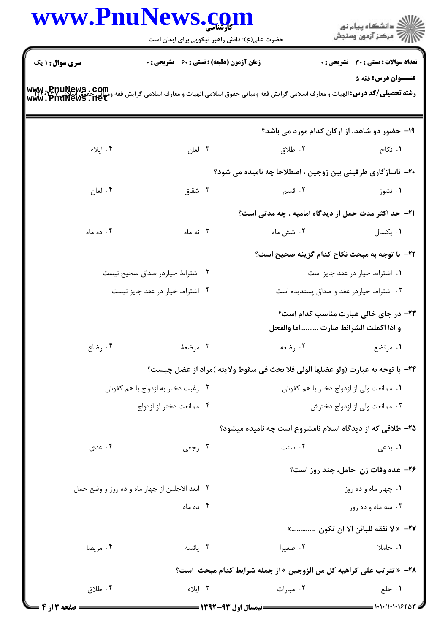|                                                | www.PnuNews.com<br>حضرت علی(ع): دانش راهبر نیکویی برای ایمان است                                                                                                    |                                                                                 | ڪ دانشڪاه پيا <sub>م</sub> نور<br>∕7 مرڪز آزمون وسنڊش |
|------------------------------------------------|---------------------------------------------------------------------------------------------------------------------------------------------------------------------|---------------------------------------------------------------------------------|-------------------------------------------------------|
| <b>سری سوال : ۱ یک</b>                         | <b>زمان آزمون (دقیقه) : تستی : 60 ٪ تشریحی : 0</b>                                                                                                                  |                                                                                 | <b>تعداد سوالات : تستی : 30 ٪ تشریحی : 0</b>          |
|                                                | <b>رشته تحصیلی/کد درس:</b> الهیات و معارف اسلامی گرایش فقه ومبانی حقوق اسلامی،الهیات و معارف اسلامی گرایش فقه وعقو هیچی<br>WWW. PnuNews . net<br>WWW. PnuNews . net |                                                                                 | عنــوان درس: فقه ۵                                    |
|                                                |                                                                                                                                                                     | <b>۱۹- حضور دو شاهد، از ارکان کدام مورد می باشد</b> ؟                           |                                                       |
| ۰۴ ایلاء                                       | ۰۳ لعان                                                                                                                                                             | ۰۲ طلاق                                                                         | ۰۱ نکاح                                               |
|                                                |                                                                                                                                                                     | <b>۰۲</b> - ناسازگاری طرفینی بین زوجین ، اصطلاحا چه نامیده می شود؟              |                                                       |
| ۰۴ لعان                                        | شقاق $\cdot$ ۳                                                                                                                                                      | ۰۲ قسم                                                                          | ۰۱ نشوز                                               |
|                                                |                                                                                                                                                                     | <b>۲۱</b> - حد اکثر مدت حمل از دیدگاه امامیه ، چه مدتی است؟                     |                                                       |
| ۰۴ ده ماه                                      | ۰۳ نه ماه                                                                                                                                                           | ۰۲ شش ماه                                                                       | ٠١. يكسال                                             |
|                                                |                                                                                                                                                                     | ٢٢−  با توجه به مبحث نكاح كدام گزينه صحيح است؟                                  |                                                       |
|                                                | ۰۲ اشتراط خیاردر صداق صحیح نیست                                                                                                                                     |                                                                                 | ۰۱ اشتراط خیار در عقد جایز است                        |
| ۰۴ اشتراط خیار در عقد جایز نیست                |                                                                                                                                                                     |                                                                                 | ۰۳ اشتراط خیاردر عقد و صداق پسندیده است               |
|                                                |                                                                                                                                                                     | و اذا اكملت الشرائط صارت اما والفحل                                             | ۲۳- در جای خالی عبارت مناسب کدام است؟                 |
| ۰۴ رضاع                                        | ۰۳ مرضعهٔ                                                                                                                                                           |                                                                                 | ١. مرتضع مسلم المعه المعدي المعدي                     |
|                                                |                                                                                                                                                                     | 34- با توجه به عبارت (ولو عضلها الولى فلا بحث في سقوط ولايته )مراد از عضل چيست؟ |                                                       |
|                                                | ۰۲ رغبت دختر به ازدواج با هم کفوش                                                                                                                                   | ٠١. ممانعت ولي از ازدواج دختر با هم كفوش                                        |                                                       |
| ۰۴ ممانعت دختر از ازدواج                       |                                                                                                                                                                     |                                                                                 | ۰۳ ممانعت ولی از ازدواج دخترش                         |
|                                                |                                                                                                                                                                     | ۲۵- طلاقی که از دیدگاه اسلام نامشروع است چه نامیده میشود؟                       |                                                       |
| ۰۴ عدی                                         | ۰۳ رجعی                                                                                                                                                             | ۰۲ سنت                                                                          | ۰۱ بدعی                                               |
|                                                |                                                                                                                                                                     |                                                                                 | ۲۶- عده وفات زن حامل، چند روز است؟                    |
| ۰۲ ابعد الاجلین از چهار ماه و ده روز و وضع حمل |                                                                                                                                                                     |                                                                                 | ۰۱ چهار ماه و ده روز                                  |
|                                                | ۰۴ ده ماه                                                                                                                                                           |                                                                                 | ۰۳ سه ماه و ده روز                                    |
|                                                |                                                                                                                                                                     |                                                                                 | 77- « لا نفقه للبائن الا ان تكون »                    |
| ۰۴ مريضا                                       | ۰۳ يائسه                                                                                                                                                            | ۰۲ صغیرا                                                                        | ۰۱ حاملا                                              |
|                                                |                                                                                                                                                                     | 48- « تترتب على كراهيه كل من الزوجين » از جمله شرايط كدام مبحث  است؟            |                                                       |
| ۰۴ طلاق                                        | ۰۳ ایلاء                                                                                                                                                            | ۰۲ مبارات                                                                       | ۰۱ خلع                                                |